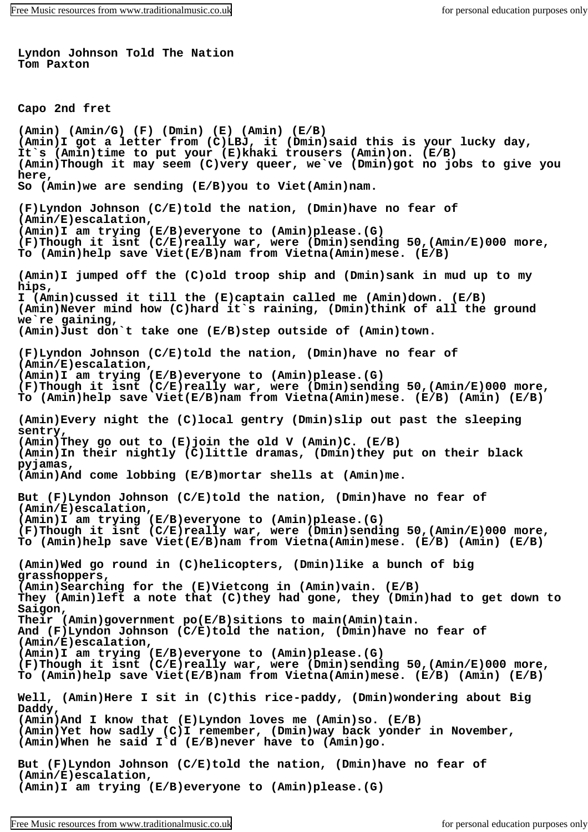**Lyndon Johnson Told The Nation Tom Paxton**

```
Capo 2nd fret
```
**(Amin) (Amin/G) (F) (Dmin) (E) (Amin) (E/B) (Amin)I got a letter from (C)LBJ, it (Dmin)said this is your lucky day, It`s (Amin)time to put your (E)khaki trousers (Amin)on. (E/B) (Amin)Though it may seem (C)very queer, we`ve (Dmin)got no jobs to give you here, So (Amin)we are sending (E/B)you to Viet(Amin)nam. (F)Lyndon Johnson (C/E)told the nation, (Dmin)have no fear of (Amin/E)escalation, (Amin)I am trying (E/B)everyone to (Amin)please.(G) (F)Though it isnt (C/E)really war, were (Dmin)sending 50,(Amin/E)000 more, To (Amin)help save Viet(E/B)nam from Vietna(Amin)mese. (E/B) (Amin)I jumped off the (C)old troop ship and (Dmin)sank in mud up to my hips, I (Amin)cussed it till the (E)captain called me (Amin)down. (E/B) (Amin)Never mind how (C)hard it`s raining, (Dmin)think of all the ground we`re gaining, (Amin)Just don`t take one (E/B)step outside of (Amin)town. (F)Lyndon Johnson (C/E)told the nation, (Dmin)have no fear of (Amin/E)escalation, (Amin)I am trying (E/B)everyone to (Amin)please.(G) (F)Though it isnt (C/E)really war, were (Dmin)sending 50,(Amin/E)000 more, To (Amin)help save Viet(E/B)nam from Vietna(Amin)mese. (E/B) (Amin) (E/B) (Amin)Every night the (C)local gentry (Dmin)slip out past the sleeping sentry, (Amin)They go out to (E)join the old V (Amin)C. (E/B) (Amin)In their nightly (C)little dramas, (Dmin)they put on their black pyjamas, (Amin)And come lobbing (E/B)mortar shells at (Amin)me. But (F)Lyndon Johnson (C/E)told the nation, (Dmin)have no fear of (Amin/E)escalation, (Amin)I am trying (E/B)everyone to (Amin)please.(G) (F)Though it isnt (C/E)really war, were (Dmin)sending 50,(Amin/E)000 more, To (Amin)help save Viet(E/B)nam from Vietna(Amin)mese. (E/B) (Amin) (E/B) (Amin)Wed go round in (C)helicopters, (Dmin)like a bunch of big grasshoppers, (Amin)Searching for the (E)Vietcong in (Amin)vain. (E/B) They (Amin)left a note that (C)they had gone, they (Dmin)had to get down to Saigon, Their (Amin)government po(E/B)sitions to main(Amin)tain. And (F)Lyndon Johnson (C/E)told the nation, (Dmin)have no fear of (Amin/E)escalation, (Amin)I am trying (E/B)everyone to (Amin)please.(G) (F)Though it isnt (C/E)really war, were (Dmin)sending 50,(Amin/E)000 more, To (Amin)help save Viet(E/B)nam from Vietna(Amin)mese. (E/B) (Amin) (E/B) Well, (Amin)Here I sit in (C)this rice-paddy, (Dmin)wondering about Big Daddy, (Amin)And I know that (E)Lyndon loves me (Amin)so. (E/B) (Amin)Yet how sadly (C)I remember, (Dmin)way back yonder in November, (Amin)When he said I`d (E/B)never have to (Amin)go. But (F)Lyndon Johnson (C/E)told the nation, (Dmin)have no fear of (Amin/E)escalation, (Amin)I am trying (E/B)everyone to (Amin)please.(G)**